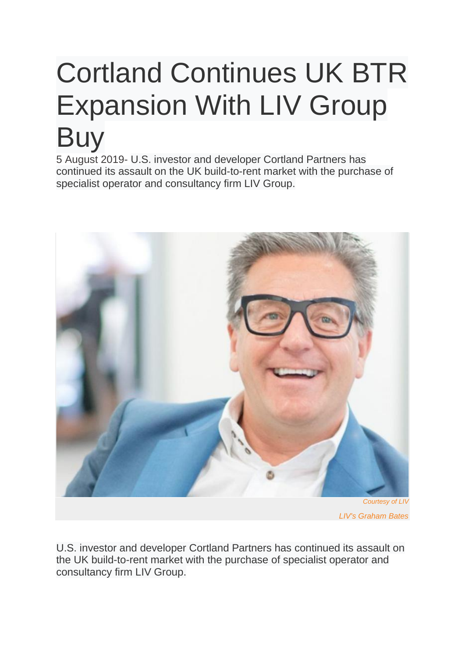## Cortland Continues UK BTR Expansion With LIV Group **Buy**

5 August 2019- U.S. investor and developer Cortland Partners has continued its assault on the UK build-to-rent market with the purchase of specialist operator and consultancy firm LIV Group.



U.S. investor and developer Cortland Partners has continued its assault on the UK build-to-rent market with the purchase of specialist operator and consultancy firm LIV Group.